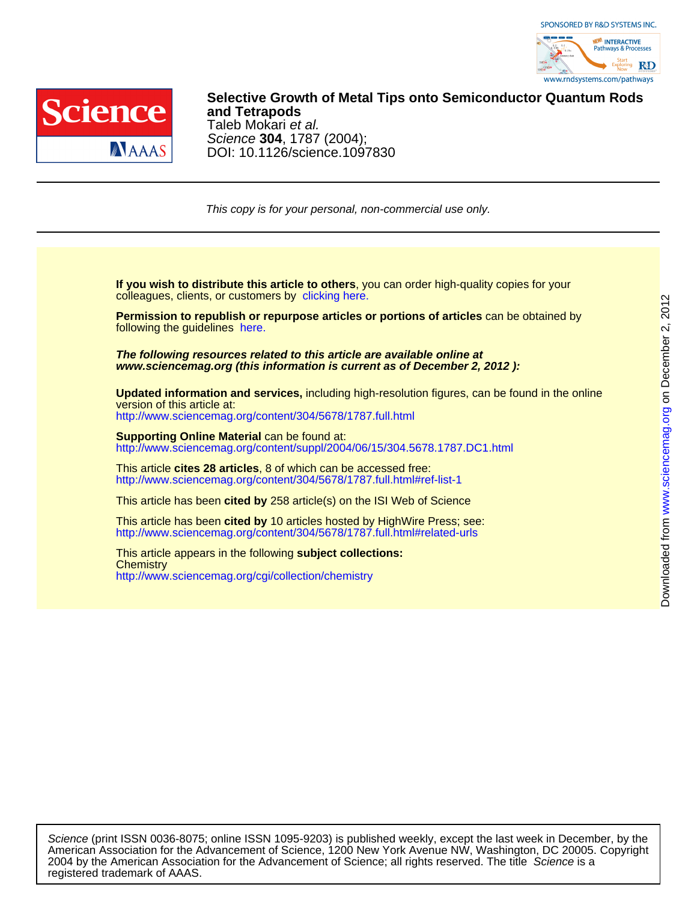



DOI: 10.1126/science.1097830 Science **304**, 1787 (2004); Taleb Mokari et al. **and Tetrapods Selective Growth of Metal Tips onto Semiconductor Quantum Rods**

This copy is for your personal, non-commercial use only.

colleagues, clients, or customers by [clicking here.](http://www.sciencemag.org/about/permissions.dtl) **If you wish to distribute this article to others**, you can order high-quality copies for your

following the guidelines [here.](http://www.sciencemag.org/about/permissions.dtl) **Permission to republish or repurpose articles or portions of articles** can be obtained by

**www.sciencemag.org (this information is current as of December 2, 2012 ): The following resources related to this article are available online at**

<http://www.sciencemag.org/content/304/5678/1787.full.html> version of this article at: **Updated information and services,** including high-resolution figures, can be found in the online

http://www.sciencemag.org/content/suppl/2004/06/15/304.5678.1787.DC1.html **Supporting Online Material** can be found at:

<http://www.sciencemag.org/content/304/5678/1787.full.html#ref-list-1> This article **cites 28 articles**, 8 of which can be accessed free:

This article has been **cited by** 258 article(s) on the ISI Web of Science

<http://www.sciencemag.org/content/304/5678/1787.full.html#related-urls> This article has been **cited by** 10 articles hosted by HighWire Press; see:

<http://www.sciencemag.org/cgi/collection/chemistry> **Chemistry** This article appears in the following **subject collections:**

registered trademark of AAAS. 2004 by the American Association for the Advancement of Science; all rights reserved. The title Science is a American Association for the Advancement of Science, 1200 New York Avenue NW, Washington, DC 20005. Copyright Science (print ISSN 0036-8075; online ISSN 1095-9203) is published weekly, except the last week in December, by the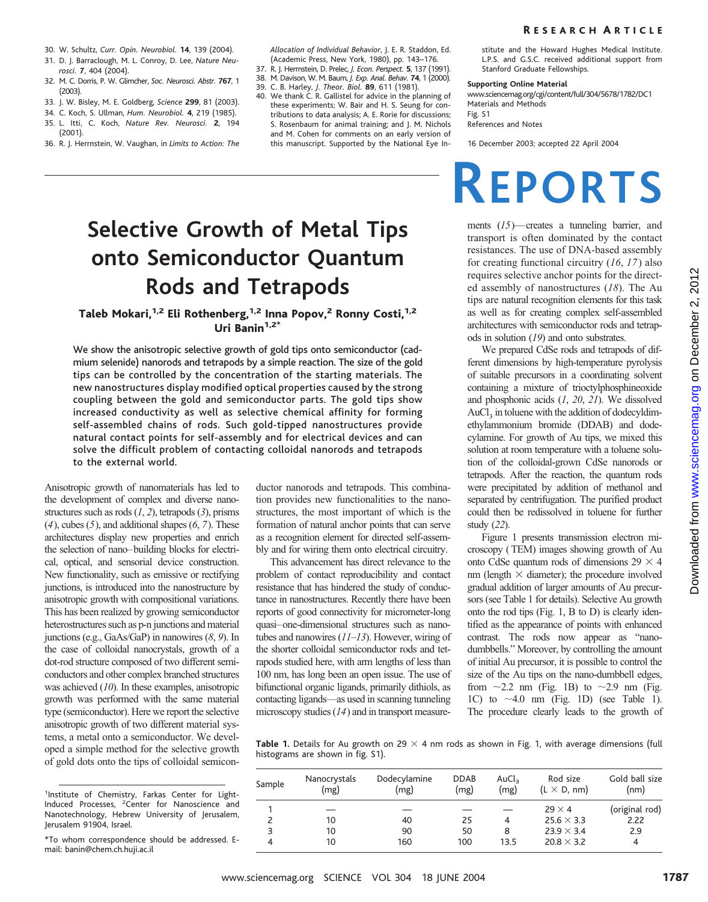- 30. W. Schultz, *Curr. Opin. Neurobiol.* **14**, 139 (2004).
- 31. D. J. Barraclough, M. L. Conroy, D. Lee, *Nature Neurosci.* **7**, 404 (2004).
- 32. M. C. Dorris, P. W. Glimcher, *Soc. Neurosci. Abstr.* **767**, 1 (2003).
- 33. J. W. Bisley, M. E. Goldberg, *Science* **299**, 81 (2003).
- 34. C. Koch, S. Ullman, *Hum. Neurobiol.* **4**, 219 (1985).
- 35. L. Itti, C. Koch, *Nature Rev. Neurosci.* **2**, 194 (2001).
- 36. R. J. Herrnstein, W. Vaughan, in *Limits to Action: The*

*Allocation of Individual Behavior*, J. E. R. Staddon, Ed. (Academic Press, New York, 1980), pp. 143–176.

- 37. R. J. Herrnstein, D. Prelec, *J. Econ. Perspect.* **5**, 137 (1991). 38. M. Davison, W. M. Baum, *J. Exp. Anal. Behav.* **74**, 1 (2000).
- 39. C. B. Harley, *J. Theor. Biol.* **89**, 611 (1981).
- 40. We thank C. R. Gallistel for advice in the planning of these experiments; W. Bair and H. S. Seung for contributions to data analysis; A. E. Rorie for discussions; S. Rosenbaum for animal training; and J. M. Nichols and M. Cohen for comments on an early version of this manuscript. Supported by the National Eye In-

# **Selective Growth of Metal Tips onto Semiconductor Quantum Rods and Tetrapods**

## Taleb Mokari,<sup>1,2</sup> Eli Rothenberg,<sup>1,2</sup> Inna Popov,<sup>2</sup> Ronny Costi,<sup>1,2</sup> Uri Banin $1.2^*$

We show the anisotropic selective growth of gold tips onto semiconductor (cadmium selenide) nanorods and tetrapods by a simple reaction. The size of the gold tips can be controlled by the concentration of the starting materials. The new nanostructures display modified optical properties caused by the strong coupling between the gold and semiconductor parts. The gold tips show increased conductivity as well as selective chemical affinity for forming self-assembled chains of rods. Such gold-tipped nanostructures provide natural contact points for self-assembly and for electrical devices and can solve the difficult problem of contacting colloidal nanorods and tetrapods to the external world.

Anisotropic growth of nanomaterials has led to the development of complex and diverse nanostructures such as rods (*1*, *2*), tetrapods (*3*), prisms (*4*), cubes (*5*), and additional shapes (*6*, *7*). These architectures display new properties and enrich the selection of nano–building blocks for electrical, optical, and sensorial device construction. New functionality, such as emissive or rectifying junctions, is introduced into the nanostructure by anisotropic growth with compositional variations. This has been realized by growing semiconductor heterostructures such as p-n junctions and material junctions (e.g., GaAs/GaP) in nanowires (*8*, *9*). In the case of colloidal nanocrystals, growth of a dot-rod structure composed of two different semiconductors and other complex branched structures was achieved (*10*). In these examples, anisotropic growth was performed with the same material type (semiconductor). Here we report the selective anisotropic growth of two different material systems, a metal onto a semiconductor. We developed a simple method for the selective growth of gold dots onto the tips of colloidal semiconductor nanorods and tetrapods. This combination provides new functionalities to the nanostructures, the most important of which is the formation of natural anchor points that can serve as a recognition element for directed self-assembly and for wiring them onto electrical circuitry.

This advancement has direct relevance to the problem of contact reproducibility and contact resistance that has hindered the study of conductance in nanostructures. Recently there have been reports of good connectivity for micrometer-long quasi–one-dimensional structures such as nanotubes and nanowires (*11*–*13*). However, wiring of the shorter colloidal semiconductor rods and tetrapods studied here, with arm lengths of less than 100 nm, has long been an open issue. The use of bifunctional organic ligands, primarily dithiols, as contacting ligands—as used in scanning tunneling microscopy studies (*14*) and in transport measurestitute and the Howard Hughes Medical Institute. L.P.S. and G.S.C. received additional support from Stanford Graduate Fellowships.

#### **Supporting Online Material**

www.sciencemag.org/cgi/content/full/304/5678/1782/DC1 Materials and Methods Fig. S1

References and Notes

16 December 2003; accepted 22 April 2004

# **REPORTS**

ments (*15*)—creates a tunneling barrier, and transport is often dominated by the contact resistances. The use of DNA-based assembly for creating functional circuitry (*16*, *17*) also requires selective anchor points for the directed assembly of nanostructures (*18*). The Au tips are natural recognition elements for this task as well as for creating complex self-assembled architectures with semiconductor rods and tetrapods in solution (*19*) and onto substrates.

We prepared CdSe rods and tetrapods of different dimensions by high-temperature pyrolysis of suitable precursors in a coordinating solvent containing a mixture of trioctylphosphineoxide and phosphonic acids (*1*, *20*, *21*). We dissolved  $AuCl<sub>3</sub>$  in toluene with the addition of dodecyldimethylammonium bromide (DDAB) and dodecylamine. For growth of Au tips, we mixed this solution at room temperature with a toluene solution of the colloidal-grown CdSe nanorods or tetrapods. After the reaction, the quantum rods were precipitated by addition of methanol and separated by centrifugation. The purified product could then be redissolved in toluene for further study (*22*).

Figure 1 presents transmission electron microscopy ( TEM) images showing growth of Au onto CdSe quantum rods of dimensions  $29 \times 4$ nm (length  $\times$  diameter); the procedure involved gradual addition of larger amounts of Au precursors (see Table 1 for details). Selective Au growth onto the rod tips (Fig. 1, B to D) is clearly identified as the appearance of points with enhanced contrast. The rods now appear as "nanodumbbells." Moreover, by controlling the amount of initial Au precursor, it is possible to control the size of the Au tips on the nano-dumbbell edges, from  $\sim$ 2.2 nm (Fig. 1B) to  $\sim$ 2.9 nm (Fig. 1C) to  $\sim$  4.0 nm (Fig. 1D) (see Table 1). The procedure clearly leads to the growth of

**Table 1.** Details for Au growth on 29  $\times$  4 nm rods as shown in Fig. 1, with average dimensions (full histograms are shown in fig. S1).

| Sample | Nanocrystals<br>(mg) | Dodecylamine<br>(mg) | <b>DDAB</b><br>(mg) | AuCl <sub>3</sub><br>(mg) | Rod size<br>$(L \times D, nm)$ | Gold ball size<br>(nm) |
|--------|----------------------|----------------------|---------------------|---------------------------|--------------------------------|------------------------|
|        |                      |                      |                     |                           | $29 \times 4$                  | (original rod)         |
|        | 10                   | 40                   | 25                  | 4                         | $25.6 \times 3.3$              | 2.22                   |
|        | 10                   | 90                   | 50                  | 8                         | $23.9 \times 3.4$              | 2.9                    |
| 4      | 10                   | 160                  | 100                 | 13.5                      | $20.8 \times 3.2$              | 4                      |

<sup>1</sup>Institute of Chemistry, Farkas Center for Light-Induced Processes, <sup>2</sup>Center for Nanoscience and Nanotechnology, Hebrew University of Jerusalem, Jerusalem 91904, Israel.

<sup>\*</sup>To whom correspondence should be addressed. Email: banin@chem.ch.huji.ac.il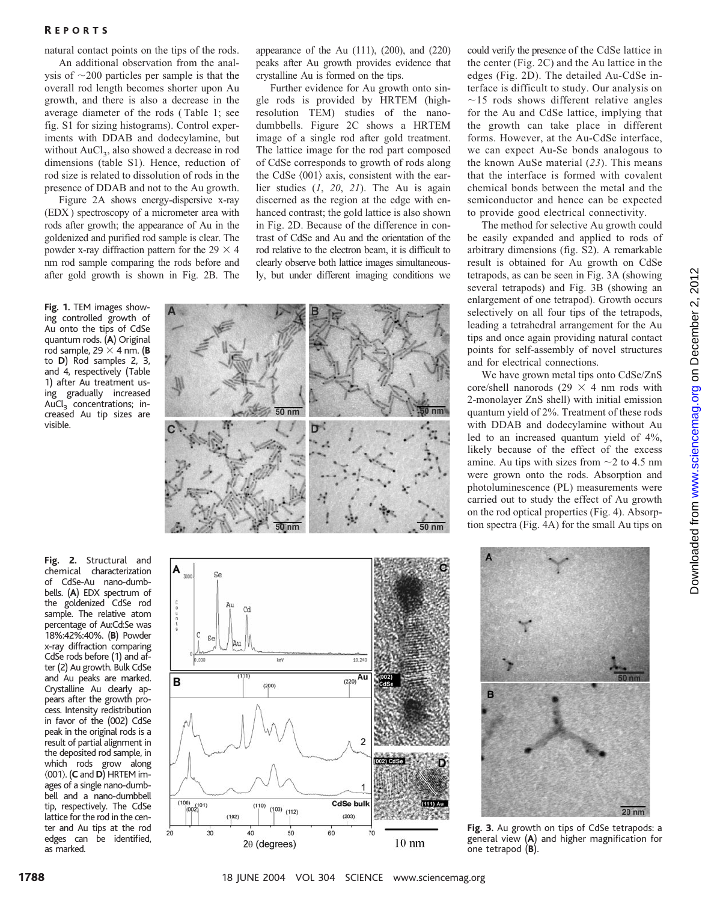#### R EPORTS

natural contact points on the tips of the rods.

An additional observation from the analysis of  $\sim$ 200 particles per sample is that the overall rod length becomes shorter upon Au growth, and there is also a decrease in the average diameter of the rods ( Table 1; see fig. S1 for sizing histograms). Control experiments with DDAB and dodecylamine, but without  $AuCl<sub>3</sub>$ , also showed a decrease in rod dimensions (table S1). Hence, reduction of rod size is related to dissolution of rods in the presence of DDAB and not to the Au growth.

Figure 2A shows energy-dispersive x-ray (EDX ) spectroscopy of a micrometer area with rods after growth; the appearance of Au in the goldenized and purified rod sample is clear. The powder x-ray diffraction pattern for the 29  $\times$  4 nm rod sample comparing the rods before and after gold growth is shown in Fig. 2B. The

**Fig. 1.** TEM images showing controlled growth of Au onto the tips of CdSe quantum rods. (**A**) Original rod sample, 29  $\times$  4 nm. (**B** to **D**) Rod samples 2, 3, and 4, respectively (Table 1) after Au treatment using gradually increased AuCl<sub>3</sub> concentrations; increased Au tip sizes are visible.

chemical characterization of CdSe-Au nano-dumbbells. (**A**) EDX spectrum of the goldenized CdSe rod sample. The relative atom percentage of Au:Cd:Se was 18%:42%:40%. (**B**) Powder x-ray diffraction comparing CdSe rods before (1) and after (2) Au growth. Bulk CdSe and Au peaks are marked. Crystalline Au clearly appears after the growth process. Intensity redistribution in favor of the (002) CdSe peak in the original rods is a result of partial alignment in the deposited rod sample, in which rods grow along 001. (**C** and **D**) HRTEM images of a single nano-dumbbell and a nano-dumbbell tip, respectively. The CdSe lattice for the rod in the center and Au tips at the rod edges can be identified, as marked.

appearance of the Au  $(111)$ ,  $(200)$ , and  $(220)$ peaks after Au growth provides evidence that crystalline Au is formed on the tips.

Further evidence for Au growth onto single rods is provided by HRTEM (highresolution TEM) studies of the nanodumbbells. Figure 2C shows a HRTEM image of a single rod after gold treatment. The lattice image for the rod part composed of CdSe corresponds to growth of rods along the CdSe  $\langle 001 \rangle$  axis, consistent with the earlier studies (*1*, *20*, *21*). The Au is again discerned as the region at the edge with enhanced contrast; the gold lattice is also shown in Fig. 2D. Because of the difference in contrast of CdSe and Au and the orientation of the rod relative to the electron beam, it is difficult to clearly observe both lattice images simultaneously, but under different imaging conditions we





could verify the presence of the CdSe lattice in the center (Fig. 2C) and the Au lattice in the edges (Fig. 2D). The detailed Au-CdSe interface is difficult to study. Our analysis on  $\sim$ 15 rods shows different relative angles for the Au and CdSe lattice, implying that the growth can take place in different forms. However, at the Au-CdSe interface, we can expect Au-Se bonds analogous to the known AuSe material (*23*). This means that the interface is formed with covalent chemical bonds between the metal and the semiconductor and hence can be expected to provide good electrical connectivity.

The method for selective Au growth could be easily expanded and applied to rods of arbitrary dimensions (fig. S2). A remarkable result is obtained for Au growth on CdSe tetrapods, as can be seen in Fig. 3A (showing several tetrapods) and Fig. 3B (showing an enlargement of one tetrapod). Growth occurs selectively on all four tips of the tetrapods, leading a tetrahedral arrangement for the Au tips and once again providing natural contact points for self-assembly of novel structures and for electrical connections.

We have grown metal tips onto CdSe/ZnS core/shell nanorods (29  $\times$  4 nm rods with 2-monolayer ZnS shell) with initial emission quantum yield of 2%. Treatment of these rods with DDAB and dodecylamine without Au led to an increased quantum yield of 4%, likely because of the effect of the excess amine. Au tips with sizes from  $\sim$  2 to 4.5 nm were grown onto the rods. Absorption and photoluminescence (PL) measurements were carried out to study the effect of Au growth on the rod optical properties (Fig. 4). Absorption spectra (Fig. 4A) for the small Au tips on



**Fig. 3.** Au growth on tips of CdSe tetrapods: a general view (**A**) and higher magnification for one tetrapod (**B**).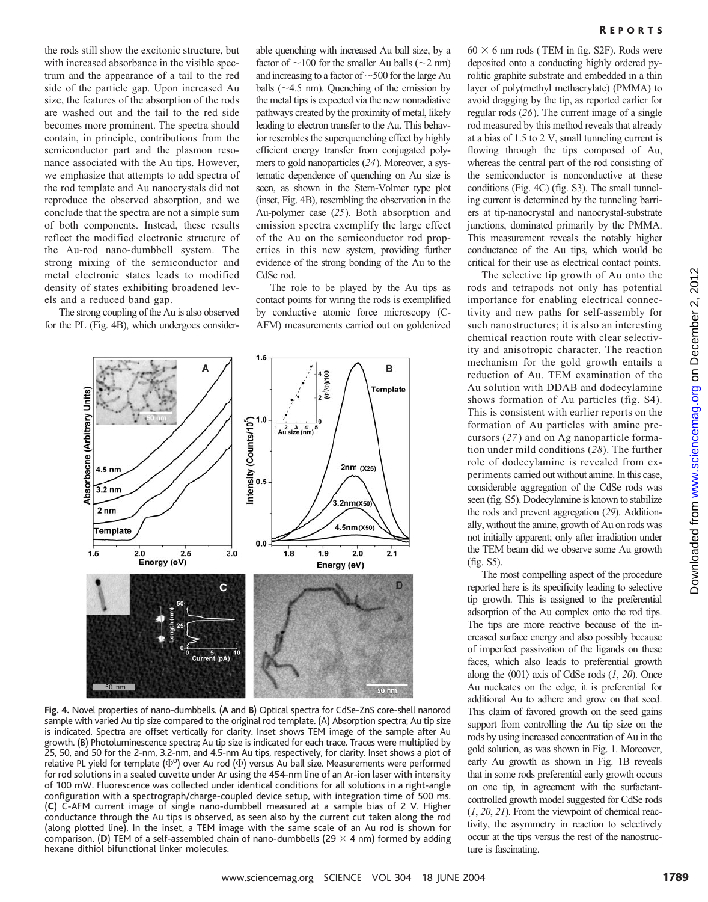the rods still show the excitonic structure, but with increased absorbance in the visible spectrum and the appearance of a tail to the red side of the particle gap. Upon increased Au size, the features of the absorption of the rods are washed out and the tail to the red side becomes more prominent. The spectra should contain, in principle, contributions from the semiconductor part and the plasmon resonance associated with the Au tips. However, we emphasize that attempts to add spectra of the rod template and Au nanocrystals did not reproduce the observed absorption, and we conclude that the spectra are not a simple sum of both components. Instead, these results reflect the modified electronic structure of the Au-rod nano-dumbbell system. The strong mixing of the semiconductor and metal electronic states leads to modified density of states exhibiting broadened levels and a reduced band gap.

The strong coupling of the Au is also observed for the PL (Fig. 4B), which undergoes consider-

able quenching with increased Au ball size, by a factor of  $\sim$ 100 for the smaller Au balls ( $\sim$ 2 nm) and increasing to a factor of  $\sim$  500 for the large Au balls  $(\sim 4.5 \text{ nm})$ . Quenching of the emission by the metal tips is expected via the new nonradiative pathways created by the proximity of metal, likely leading to electron transfer to the Au. This behavior resembles the superquenching effect by highly efficient energy transfer from conjugated polymers to gold nanoparticles (*24*). Moreover, a systematic dependence of quenching on Au size is seen, as shown in the Stern-Volmer type plot (inset, Fig. 4B), resembling the observation in the Au-polymer case (*25*). Both absorption and emission spectra exemplify the large effect of the Au on the semiconductor rod properties in this new system, providing further evidence of the strong bonding of the Au to the CdSe rod.

The role to be played by the Au tips as contact points for wiring the rods is exemplified by conductive atomic force microscopy (C-AFM) measurements carried out on goldenized



**Fig. 4.** Novel properties of nano-dumbbells. (**A** and **B**) Optical spectra for CdSe-ZnS core-shell nanorod sample with varied Au tip size compared to the original rod template. (A) Absorption spectra; Au tip size is indicated. Spectra are offset vertically for clarity. Inset shows TEM image of the sample after Au growth. (B) Photoluminescence spectra; Au tip size is indicated for each trace. Traces were multiplied by 25, 50, and 50 for the 2-nm, 3.2-nm, and 4.5-nm Au tips, respectively, for clarity. Inset shows a plot of relative PL yield for template  $(\Phi^{\rm o})$  over Au rod  $(\Phi)$  versus Au ball size. Measurements were performed for rod solutions in a sealed cuvette under Ar using the 454-nm line of an Ar-ion laser with intensity of 100 mW. Fluorescence was collected under identical conditions for all solutions in a right-angle configuration with a spectrograph/charge-coupled device setup, with integration time of 500 ms. (**C**) C-AFM current image of single nano-dumbbell measured at a sample bias of 2 V. Higher conductance through the Au tips is observed, as seen also by the current cut taken along the rod (along plotted line). In the inset, a TEM image with the same scale of an Au rod is shown for comparison. (D) TEM of a self-assembled chain of nano-dumbbells (29  $\times$  4 nm) formed by adding hexane dithiol bifunctional linker molecules.

 $60 \times 6$  nm rods (TEM in fig. S2F). Rods were deposited onto a conducting highly ordered pyrolitic graphite substrate and embedded in a thin layer of poly(methyl methacrylate) (PMMA) to avoid dragging by the tip, as reported earlier for regular rods (*26*). The current image of a single rod measured by this method reveals that already at a bias of 1.5 to 2 V, small tunneling current is flowing through the tips composed of Au, whereas the central part of the rod consisting of the semiconductor is nonconductive at these conditions (Fig. 4C) (fig. S3). The small tunneling current is determined by the tunneling barriers at tip-nanocrystal and nanocrystal-substrate junctions, dominated primarily by the PMMA. This measurement reveals the notably higher conductance of the Au tips, which would be critical for their use as electrical contact points.

The selective tip growth of Au onto the rods and tetrapods not only has potential importance for enabling electrical connectivity and new paths for self-assembly for such nanostructures; it is also an interesting chemical reaction route with clear selectivity and anisotropic character. The reaction mechanism for the gold growth entails a reduction of Au. TEM examination of the Au solution with DDAB and dodecylamine shows formation of Au particles (fig. S4). This is consistent with earlier reports on the formation of Au particles with amine precursors (*27*) and on Ag nanoparticle formation under mild conditions (*28*). The further role of dodecylamine is revealed from experiments carried out without amine. In this case, considerable aggregation of the CdSe rods was seen (fig. S5). Dodecylamine is known to stabilize the rods and prevent aggregation (*29*). Additionally, without the amine, growth of Au on rods was not initially apparent; only after irradiation under the TEM beam did we observe some Au growth (fig. S5).

The most compelling aspect of the procedure reported here is its specificity leading to selective tip growth. This is assigned to the preferential adsorption of the Au complex onto the rod tips. The tips are more reactive because of the increased surface energy and also possibly because of imperfect passivation of the ligands on these faces, which also leads to preferential growth along the  $\langle 001 \rangle$  axis of CdSe rods  $(1, 20)$ . Once Au nucleates on the edge, it is preferential for additional Au to adhere and grow on that seed. This claim of favored growth on the seed gains support from controlling the Au tip size on the rods by using increased concentration of Au in the gold solution, as was shown in Fig. 1. Moreover, early Au growth as shown in Fig. 1B reveals that in some rods preferential early growth occurs on one tip, in agreement with the surfactantcontrolled growth model suggested for CdSe rods (*1*, *20*, *21*). From the viewpoint of chemical reactivity, the asymmetry in reaction to selectively occur at the tips versus the rest of the nanostructure is fascinating.